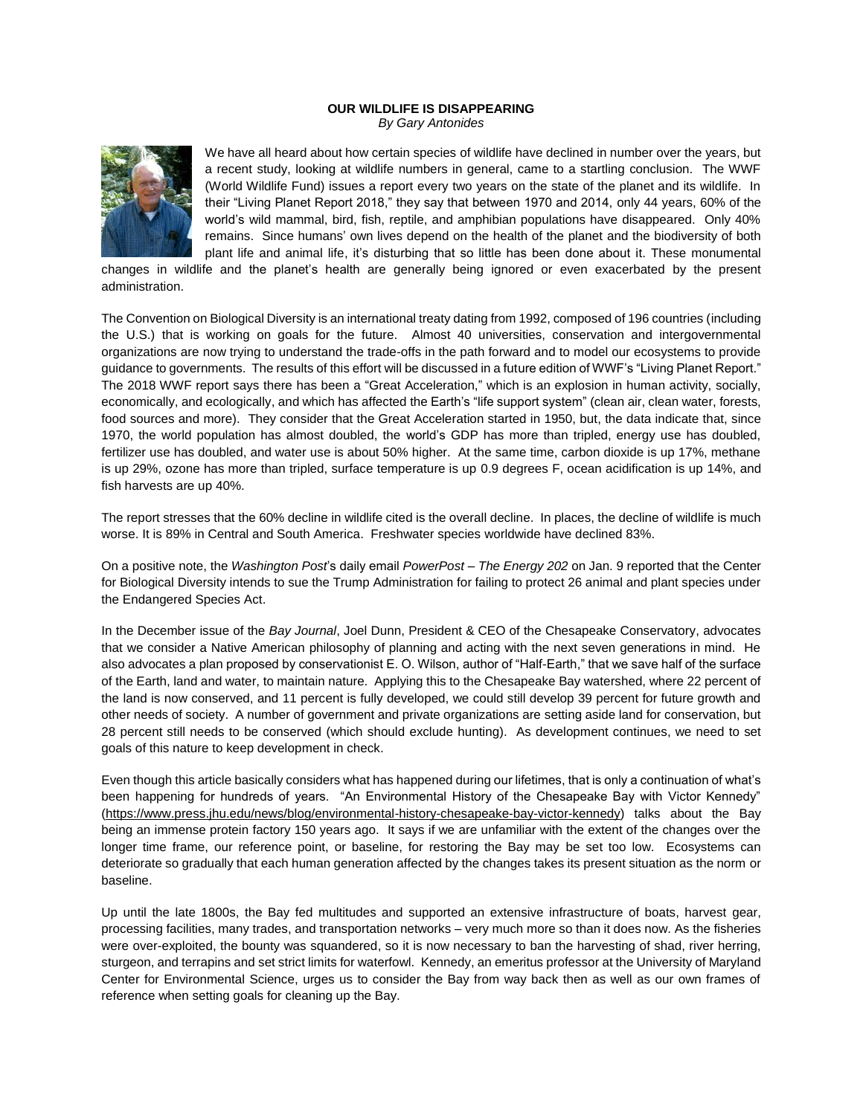## **OUR WILDLIFE IS DISAPPEARING** *By Gary Antonides*



We have all heard about how certain species of wildlife have declined in number over the years, but a recent study, looking at wildlife numbers in general, came to a startling conclusion. The WWF (World Wildlife Fund) issues a report every two years on the state of the planet and its wildlife. In their "Living Planet Report 2018," they say that between 1970 and 2014, only 44 years, 60% of the world's wild mammal, bird, fish, reptile, and amphibian populations have disappeared. Only 40% remains. Since humans' own lives depend on the health of the planet and the biodiversity of both plant life and animal life, it's disturbing that so little has been done about it. These monumental

changes in wildlife and the planet's health are generally being ignored or even exacerbated by the present administration.

The Convention on Biological Diversity is an international treaty dating from 1992, composed of 196 countries (including the U.S.) that is working on goals for the future. Almost 40 universities, conservation and intergovernmental organizations are now trying to understand the trade-offs in the path forward and to model our ecosystems to provide guidance to governments. The results of this effort will be discussed in a future edition of WWF's "Living Planet Report." The 2018 WWF report says there has been a "Great Acceleration," which is an explosion in human activity, socially, economically, and ecologically, and which has affected the Earth's "life support system" (clean air, clean water, forests, food sources and more). They consider that the Great Acceleration started in 1950, but, the data indicate that, since 1970, the world population has almost doubled, the world's GDP has more than tripled, energy use has doubled, fertilizer use has doubled, and water use is about 50% higher. At the same time, carbon dioxide is up 17%, methane is up 29%, ozone has more than tripled, surface temperature is up 0.9 degrees F, ocean acidification is up 14%, and fish harvests are up 40%.

The report stresses that the 60% decline in wildlife cited is the overall decline. In places, the decline of wildlife is much worse. It is 89% in Central and South America. Freshwater species worldwide have declined 83%.

On a positive note, the *Washington Post*'s daily email *PowerPost – The Energy 202* on Jan. 9 reported that the Center for Biological Diversity intends to sue the Trump Administration for failing to protect 26 animal and plant species under the Endangered Species Act.

In the December issue of the *Bay Journal*, Joel Dunn, President & CEO of the Chesapeake Conservatory, advocates that we consider a Native American philosophy of planning and acting with the next seven generations in mind. He also advocates a plan proposed by conservationist E. O. Wilson, author of "Half-Earth," that we save half of the surface of the Earth, land and water, to maintain nature. Applying this to the Chesapeake Bay watershed, where 22 percent of the land is now conserved, and 11 percent is fully developed, we could still develop 39 percent for future growth and other needs of society. A number of government and private organizations are setting aside land for conservation, but 28 percent still needs to be conserved (which should exclude hunting). As development continues, we need to set goals of this nature to keep development in check.

Even though this article basically considers what has happened during our lifetimes, that is only a continuation of what's been happening for hundreds of years. "An Environmental History of the Chesapeake Bay with Victor Kennedy" [\(https://www.press.jhu.edu/news/blog/environmental-history-chesapeake-bay-victor-kennedy\)](https://www.press.jhu.edu/news/blog/environmental-history-chesapeake-bay-victor-kennedy) talks about the Bay being an immense protein factory 150 years ago. It says if we are unfamiliar with the extent of the changes over the longer time frame, our reference point, or baseline, for restoring the Bay may be set too low. Ecosystems can deteriorate so gradually that each human generation affected by the changes takes its present situation as the norm or baseline.

Up until the late 1800s, the Bay fed multitudes and supported an extensive infrastructure of boats, harvest gear, processing facilities, many trades, and transportation networks – very much more so than it does now. As the fisheries were over-exploited, the bounty was squandered, so it is now necessary to ban the harvesting of shad, river herring, sturgeon, and terrapins and set strict limits for waterfowl. Kennedy, an emeritus professor at the University of Maryland Center for Environmental Science, urges us to consider the Bay from way back then as well as our own frames of reference when setting goals for cleaning up the Bay.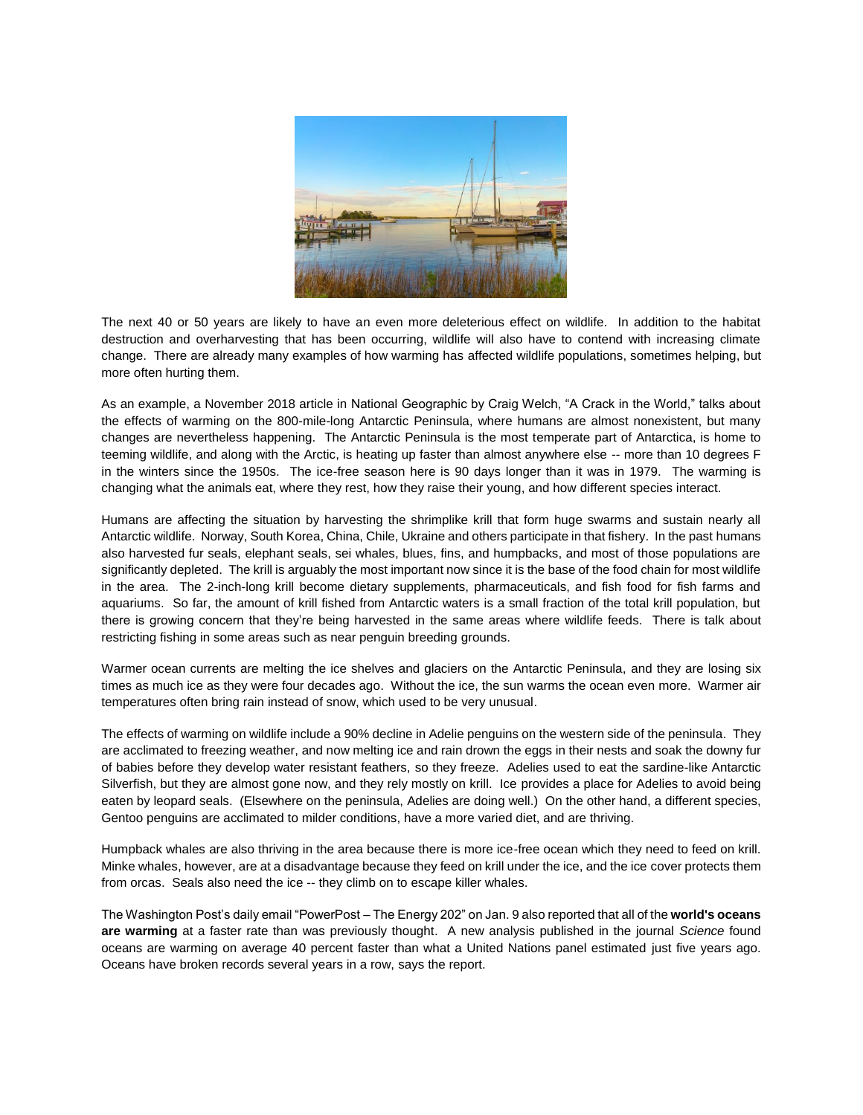

The next 40 or 50 years are likely to have an even more deleterious effect on wildlife. In addition to the habitat destruction and overharvesting that has been occurring, wildlife will also have to contend with increasing climate change. There are already many examples of how warming has affected wildlife populations, sometimes helping, but more often hurting them.

As an example, a November 2018 article in National Geographic by Craig Welch, "A Crack in the World," talks about the effects of warming on the 800-mile-long Antarctic Peninsula, where humans are almost nonexistent, but many changes are nevertheless happening. The Antarctic Peninsula is the most temperate part of Antarctica, is home to teeming wildlife, and along with the Arctic, is heating up faster than almost anywhere else -- more than 10 degrees F in the winters since the 1950s. The ice-free season here is 90 days longer than it was in 1979. The warming is changing what the animals eat, where they rest, how they raise their young, and how different species interact.

Humans are affecting the situation by harvesting the shrimplike krill that form huge swarms and sustain nearly all Antarctic wildlife. Norway, South Korea, China, Chile, Ukraine and others participate in that fishery. In the past humans also harvested fur seals, elephant seals, sei whales, blues, fins, and humpbacks, and most of those populations are significantly depleted. The krill is arguably the most important now since it is the base of the food chain for most wildlife in the area. The 2-inch-long krill become dietary supplements, pharmaceuticals, and fish food for fish farms and aquariums. So far, the amount of krill fished from Antarctic waters is a small fraction of the total krill population, but there is growing concern that they're being harvested in the same areas where wildlife feeds. There is talk about restricting fishing in some areas such as near penguin breeding grounds.

Warmer ocean currents are melting the ice shelves and glaciers on the Antarctic Peninsula, and they are losing six times as much ice as they were four decades ago. Without the ice, the sun warms the ocean even more. Warmer air temperatures often bring rain instead of snow, which used to be very unusual.

The effects of warming on wildlife include a 90% decline in Adelie penguins on the western side of the peninsula. They are acclimated to freezing weather, and now melting ice and rain drown the eggs in their nests and soak the downy fur of babies before they develop water resistant feathers, so they freeze. Adelies used to eat the sardine-like Antarctic Silverfish, but they are almost gone now, and they rely mostly on krill. Ice provides a place for Adelies to avoid being eaten by leopard seals. (Elsewhere on the peninsula, Adelies are doing well.) On the other hand, a different species, Gentoo penguins are acclimated to milder conditions, have a more varied diet, and are thriving.

Humpback whales are also thriving in the area because there is more ice-free ocean which they need to feed on krill. Minke whales, however, are at a disadvantage because they feed on krill under the ice, and the ice cover protects them from orcas. Seals also need the ice -- they climb on to escape killer whales.

The Washington Post's daily email "PowerPost – The Energy 202" on Jan. 9 also reported that all of the **world's oceans are warming** at a faster rate than was previously thought. A new analysis published in the journal *Science* found oceans are warming on average 40 percent faster than what a United Nations panel estimated just five years ago. Oceans have broken records several years in a row, says the report.